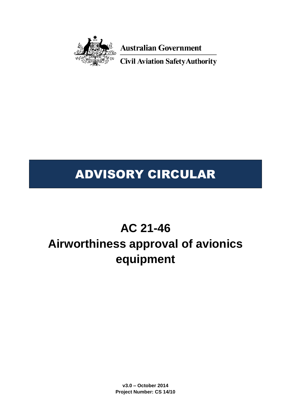

**Australian Government** 

**Civil Aviation Safety Authority** 

# ADVISORY CIRCULAR

# **AC 21-46 Airworthiness approval of avionics equipment**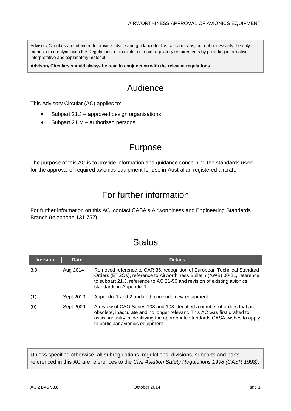Advisory Circulars are intended to provide advice and guidance to illustrate a means, but not necessarily the only means, of complying with the Regulations, or to explain certain regulatory requirements by providing informative, interpretative and explanatory material.

**Advisory Circulars should always be read in conjunction with the relevant regulations.**

# Audience

This Advisory Circular (AC) applies to:

- Subpart 21.J approved design organisations
- Subpart 21.M authorised persons.

# Purpose

The purpose of this AC is to provide information and guidance concerning the standards used for the approval of required avionics equipment for use in Australian registered aircraft.

# For further information

For further information on this AC, contact CASA's Airworthiness and Engineering Standards Branch (telephone 131 757).

# **Status**

| <b>Version</b> | Date      | <b>Details</b>                                                                                                                                                                                                                                                               |
|----------------|-----------|------------------------------------------------------------------------------------------------------------------------------------------------------------------------------------------------------------------------------------------------------------------------------|
| 3.0            | Aug 2014  | Removed reference to CAR 35, recognition of European Technical Standard<br>Orders (ETSOs), reference to Airworthiness Bulletin (AWB) 00-21, reference<br>to subpart 21.J, reference to AC 21-50 and revision of existing avionics<br>standards in Appendix 1.                |
| (1)            | Sept 2010 | Appendix 1 and 2 updated to include new equipment.                                                                                                                                                                                                                           |
| (0)            | Sept 2009 | A review of CAO Series 103 and 108 identified a number of orders that are<br>obsolete, inaccurate and no longer relevant. This AC was first drafted to<br>assist industry in identifying the appropriate standards CASA wishes to apply<br>to particular avionics equipment. |

Unless specified otherwise, all subregulations, regulations, divisions, subparts and parts referenced in this AC are references to the *Civil Aviation Safety Regulations 1998 (CASR 1998)*.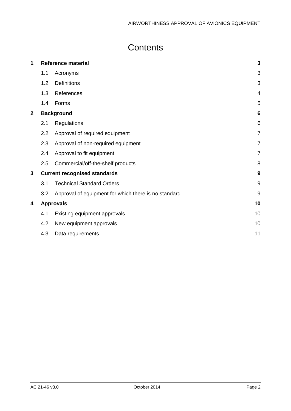# **Contents**

| 1              | <b>Reference material</b>           |                                                      |                |  |
|----------------|-------------------------------------|------------------------------------------------------|----------------|--|
|                | 1.1                                 | Acronyms                                             | 3              |  |
|                | 1.2                                 | <b>Definitions</b>                                   | 3              |  |
|                | 1.3                                 | References                                           | $\overline{4}$ |  |
|                | 1.4                                 | Forms                                                | 5              |  |
| $\overline{2}$ |                                     | <b>Background</b>                                    |                |  |
|                | 2.1                                 | Regulations                                          | 6              |  |
|                | 2.2                                 | Approval of required equipment                       | $\overline{7}$ |  |
|                | 2.3                                 | Approval of non-required equipment                   | 7              |  |
|                | 2.4                                 | Approval to fit equipment                            | $\overline{7}$ |  |
|                | 2.5                                 | Commercial/off-the-shelf products                    | 8              |  |
| 3              | <b>Current recognised standards</b> |                                                      |                |  |
|                | 3.1                                 | <b>Technical Standard Orders</b>                     | $9\,$          |  |
|                | 3.2                                 | Approval of equipment for which there is no standard | 9              |  |
| 4              |                                     | <b>Approvals</b>                                     |                |  |
|                | 4.1                                 | Existing equipment approvals                         | 10             |  |
|                | 4.2                                 | New equipment approvals                              | 10             |  |
|                | 4.3                                 | Data requirements                                    | 11             |  |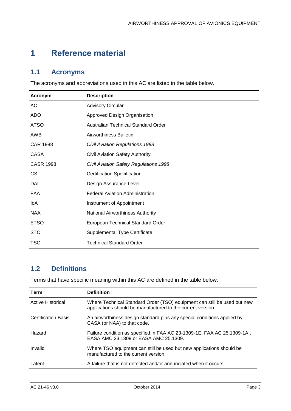# <span id="page-3-0"></span>**1 Reference material**

### <span id="page-3-1"></span>**1.1 Acronyms**

The acronyms and abbreviations used in this AC are listed in the table below.

| Acronym          | <b>Description</b>                     |
|------------------|----------------------------------------|
| AC               | <b>Advisory Circular</b>               |
| <b>ADO</b>       | Approved Design Organisation           |
| <b>ATSO</b>      | Australian Technical Standard Order    |
| AWB              | Airworthiness Bulletin                 |
| <b>CAR 1988</b>  | <b>Civil Aviation Regulations 1988</b> |
| <b>CASA</b>      | <b>Civil Aviation Safety Authority</b> |
| <b>CASR 1998</b> | Civil Aviation Safety Regulations 1998 |
| <b>CS</b>        | <b>Certification Specification</b>     |
| DAL              | Design Assurance Level                 |
| <b>FAA</b>       | <b>Federal Aviation Administration</b> |
| loA              | Instrument of Appointment              |
| <b>NAA</b>       | National Airworthiness Authority       |
| <b>ETSO</b>      | European Technical Standard Order      |
| <b>STC</b>       | Supplemental Type Certificate          |
| <b>TSO</b>       | <b>Technical Standard Order</b>        |

# <span id="page-3-2"></span>**1.2 Definitions**

Terms that have specific meaning within this AC are defined in the table below.

| Term                       | <b>Definition</b>                                                                                                                       |
|----------------------------|-----------------------------------------------------------------------------------------------------------------------------------------|
| Active Historical          | Where Technical Standard Order (TSO) equipment can still be used but new<br>applications should be manufactured to the current version. |
| <b>Certification Basis</b> | An airworthiness design standard plus any special conditions applied by<br>CASA (or NAA) to that code.                                  |
| Hazard                     | Failure condition as specified in FAA AC 23-1309-1E, FAA AC 25.1309-1A,<br>EASA AMC 23.1309 or EASA AMC 25.1309.                        |
| Invalid                    | Where TSO equipment can still be used but new applications should be<br>manufactured to the current version.                            |
| Latent                     | A failure that is not detected and/or annunciated when it occurs.                                                                       |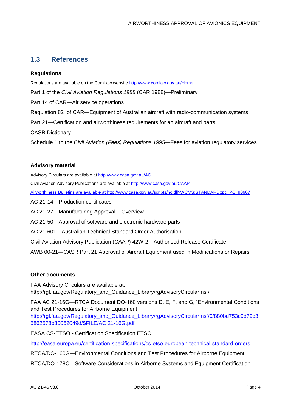### <span id="page-4-0"></span>**1.3 References**

#### **Regulations**

Regulations are available on the ComLaw website<http://www.comlaw.gov.au/Home> Part 1 of the *Civil Aviation Regulations 1988* (CAR 1988)—Preliminary Part 14 of CAR—Air service operations Regulation 82 of CAR—Equipment of Australian aircraft with radio-communication systems Part 21—Certification and airworthiness requirements for an aircraft and parts CASR Dictionary Schedule 1 to the *Civil Aviation (Fees) Regulations 1995*—Fees for aviation regulatory services

#### **Advisory material**

Advisory Circulars are available at<http://www.casa.gov.au/AC>

Civil Aviation Advisory Publications are available at<http://www.casa.gov.au/CAAP>

Airworthiness Bulletins are available at [http://www.casa.gov.au/scripts/nc.dll?WCMS:STANDARD::pc=PC\\_90607](http://www.casa.gov.au/scripts/nc.dll?WCMS:STANDARD::pc=PC_90607)

AC 21-14—Production certificates

AC 21-27—Manufacturing Approval – Overview

AC 21-50—Approval of software and electronic hardware parts

AC 21-601—Australian Technical Standard Order Authorisation

Civil Aviation Advisory Publication (CAAP) 42W-2—Authorised Release Certificate

AWB 00-21—CASR Part 21 Approval of Aircraft Equipment used in Modifications or Repairs

#### **Other documents**

FAA Advisory Circulars are available at: http://rgl.faa.gov/Regulatory\_and\_Guidance\_Library/rgAdvisoryCircular.nsf/

FAA AC 21-16G—RTCA Document DO-160 versions D, E, F, and G, "Environmental Conditions and Test Procedures for Airborne Equipment

[http://rgl.faa.gov/Regulatory\\_and\\_Guidance\\_Library/rgAdvisoryCircular.nsf/0/880bd753c9d79c3](http://rgl.faa.gov/Regulatory_and_Guidance_Library/rgAdvisoryCircular.nsf/0/880bd753c9d79c35862578b80062049d/$FILE/AC%2021-16G.pdf) [5862578b80062049d/\\$FILE/AC 21-16G.pdf](http://rgl.faa.gov/Regulatory_and_Guidance_Library/rgAdvisoryCircular.nsf/0/880bd753c9d79c35862578b80062049d/$FILE/AC%2021-16G.pdf)

EASA CS-ETSO - Certification Specification ETSO

<http://easa.europa.eu/certification-specifications/cs-etso-european-technical-standard-orders>

RTCA/DO-160G—Environmental Conditions and Test Procedures for Airborne Equipment

RTCA/DO-178C—Software Considerations in Airborne Systems and Equipment Certification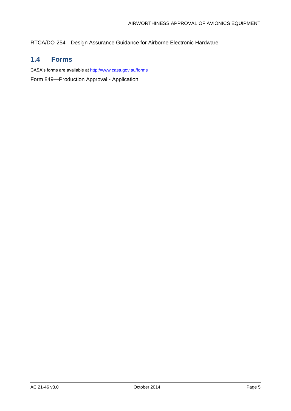RTCA/DO-254—Design Assurance Guidance for Airborne Electronic Hardware

### <span id="page-5-0"></span>**1.4 Forms**

CASA's forms are available at<http://www.casa.gov.au/forms> [Form 849—Production Approval -](http://www.casa.gov.au/manuals/regulate/prod/form849.pdf) Application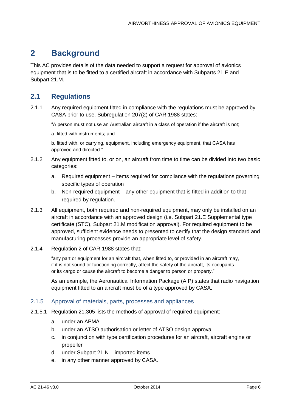# <span id="page-6-0"></span>**2 Background**

This AC provides details of the data needed to support a request for approval of avionics equipment that is to be fitted to a certified aircraft in accordance with Subparts 21.E and Subpart 21.M.

## <span id="page-6-1"></span>**2.1 Regulations**

2.1.1 Any required equipment fitted in compliance with the regulations must be approved by CASA prior to use. Subregulation 207(2) of CAR 1988 states:

"A person must not use an Australian aircraft in a class of operation if the aircraft is not;

a. fitted with instruments; and

b. fitted with, or carrying, equipment, including emergency equipment, that CASA has approved and directed."

- 2.1.2 Any equipment fitted to, or on, an aircraft from time to time can be divided into two basic categories:
	- a. Required equipment items required for compliance with the regulations governing specific types of operation
	- b. Non-required equipment any other equipment that is fitted in addition to that required by regulation.
- 2.1.3 All equipment, both required and non-required equipment, may only be installed on an aircraft in accordance with an approved design (i.e. Subpart 21.E Supplemental type certificate (STC), Subpart 21.M modification approval). For required equipment to be approved, sufficient evidence needs to presented to certify that the design standard and manufacturing processes provide an appropriate level of safety.
- 2.1.4 Regulation 2 of CAR 1988 states that:

"any part or equipment for an aircraft that, when fitted to, or provided in an aircraft may, if it is not sound or functioning correctly, affect the safety of the aircraft, its occupants or its cargo or cause the aircraft to become a danger to person or property."

As an example, the Aeronautical Information Package (AIP) states that radio navigation equipment fitted to an aircraft must be of a type approved by CASA.

#### 2.1.5 Approval of materials, parts, processes and appliances

- 2.1.5.1 Regulation 21.305 lists the methods of approval of required equipment:
	- a. under an APMA
	- b. under an ATSO authorisation or letter of ATSO design approval
	- c. in conjunction with type certification procedures for an aircraft, aircraft engine or propeller
	- d. under Subpart 21.N imported items
	- e. in any other manner approved by CASA.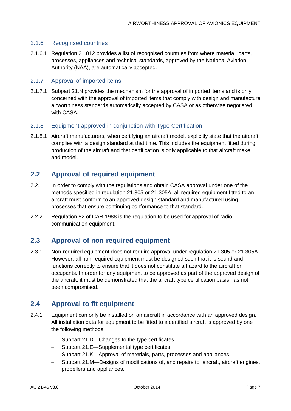#### 2.1.6 Recognised countries

2.1.6.1 Regulation 21.012 provides a list of recognised countries from where material, parts, processes, appliances and technical standards, approved by the National Aviation Authority (NAA), are automatically accepted.

#### 2.1.7 Approval of imported items

2.1.7.1 Subpart 21.N provides the mechanism for the approval of imported items and is only concerned with the approval of imported items that comply with design and manufacture airworthiness standards automatically accepted by CASA or as otherwise negotiated with CASA.

#### 2.1.8 Equipment approved in conjunction with Type Certification

2.1.8.1 Aircraft manufacturers, when certifying an aircraft model, explicitly state that the aircraft complies with a design standard at that time. This includes the equipment fitted during production of the aircraft and that certification is only applicable to that aircraft make and model.

### <span id="page-7-0"></span>**2.2 Approval of required equipment**

- 2.2.1 In order to comply with the regulations and obtain CASA approval under one of the methods specified in regulation 21.305 or 21.305A, all required equipment fitted to an aircraft must conform to an approved design standard and manufactured using processes that ensure continuing conformance to that standard.
- 2.2.2 Regulation 82 of CAR 1988 is the regulation to be used for approval of radio communication equipment.

#### <span id="page-7-1"></span>**2.3 Approval of non-required equipment**

2.3.1 Non-required equipment does not require approval under regulation 21.305 or 21.305A. However, all non-required equipment must be designed such that it is sound and functions correctly to ensure that it does not constitute a hazard to the aircraft or occupants. In order for any equipment to be approved as part of the approved design of the aircraft, it must be demonstrated that the aircraft type certification basis has not been compromised.

#### <span id="page-7-2"></span>**2.4 Approval to fit equipment**

- 2.4.1 Equipment can only be installed on an aircraft in accordance with an approved design. All installation data for equipment to be fitted to a certified aircraft is approved by one the following methods:
	- Subpart 21.D—Changes to the type certificates
	- Subpart 21.E-Supplemental type certificates
	- Subpart 21.K—Approval of materials, parts, processes and appliances
	- Subpart 21.M—Designs of modifications of, and repairs to, aircraft, aircraft engines, propellers and appliances.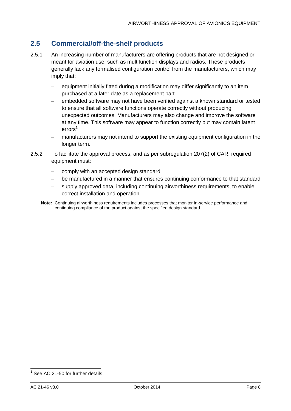## <span id="page-8-0"></span>**2.5 Commercial/off-the-shelf products**

- 2.5.1 An increasing number of manufacturers are offering products that are not designed or meant for aviation use, such as multifunction displays and radios. These products generally lack any formalised configuration control from the manufacturers, which may imply that:
	- equipment initially fitted during a modification may differ significantly to an item purchased at a later date as a replacement part
	- embedded software may not have been verified against a known standard or tested to ensure that all software functions operate correctly without producing unexpected outcomes. Manufacturers may also change and improve the software at any time. This software may appear to function correctly but may contain latent  $error<sup>1</sup>$
	- manufacturers may not intend to support the existing equipment configuration in the longer term.
- 2.5.2 To facilitate the approval process, and as per subregulation 207(2) of CAR, required equipment must:
	- comply with an accepted design standard
	- be manufactured in a manner that ensures continuing conformance to that standard
	- supply approved data, including continuing airworthiness requirements, to enable correct installation and operation.
	- **Note:** Continuing airworthiness requirements includes processes that monitor in-service performance and continuing compliance of the product against the specified design standard.

 1 See AC 21-50 for further details.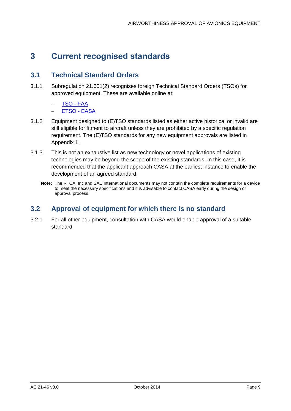# <span id="page-9-0"></span>**3 Current recognised standards**

### <span id="page-9-1"></span>**3.1 Technical Standard Orders**

- 3.1.1 Subregulation 21.601(2) recognises foreign Technical Standard Orders (TSOs) for approved equipment. These are available online at:
	- [TSO -](http://rgl.faa.gov/Regulatory_and_Guidance_Library/rgTSO.nsf/CurrentTSONumber!OpenView) FAA
	- **[ETSO -](http://easa.europa.eu/agency-measures/docs/certification-specifications/CS-ETSO/ETSO%20Index.xls) EASA**
- 3.1.2 Equipment designed to (E)TSO standards listed as either active historical or invalid are still eligible for fitment to aircraft unless they are prohibited by a specific regulation requirement. The (E)TSO standards for any new equipment approvals are listed in Appendix 1.
- 3.1.3 This is not an exhaustive list as new technology or novel applications of existing technologies may be beyond the scope of the existing standards. In this case, it is recommended that the applicant approach CASA at the earliest instance to enable the development of an agreed standard.
	- **Note:** The RTCA, Inc and SAE International documents may not contain the complete requirements for a device to meet the necessary specifications and it is advisable to contact CASA early during the design or approval process.

## <span id="page-9-2"></span>**3.2 Approval of equipment for which there is no standard**

3.2.1 For all other equipment, consultation with CASA would enable approval of a suitable standard.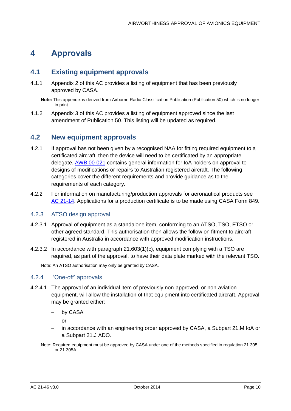# <span id="page-10-0"></span>**4 Approvals**

### <span id="page-10-1"></span>**4.1 Existing equipment approvals**

4.1.1 Appendix 2 of this AC provides a listing of equipment that has been previously approved by CASA.

**Note:** This appendix is derived from Airborne Radio Classification Publication (Publication 50) which is no longer in print.

4.1.2 Appendix 3 of this AC provides a listing of equipment approved since the last amendment of Publication 50. This listing will be updated as required.

### <span id="page-10-2"></span>**4.2 New equipment approvals**

- 4.2.1 If approval has not been given by a recognised NAA for fitting required equipment to a certificated aircraft, then the device will need to be certificated by an appropriate delegate. [AWB 00-021](http://www.casa.gov.au/wcmswr/_assets/main/airworth/awb/00/021.pdf) contains general information for IoA holders on approval to designs of modifications or repairs to Australian registered aircraft. The following categories cover the different requirements and provide guidance as to the requirements of each category.
- 4.2.2 For information on manufacturing/production approvals for aeronautical products see [AC 21-14.](http://www.casa.gov.au/wcmswr/_assets/main/rules/1998casr/021/021c14.pdf) Applications for a production certificate is to be made using CASA Form 849.

#### 4.2.3 ATSO design approval

- 4.2.3.1 Approval of equipment as a standalone item, conforming to an ATSO, TSO, ETSO or other agreed standard. This authorisation then allows the follow on fitment to aircraft registered in Australia in accordance with approved modification instructions.
- 4.2.3.2 In accordance with paragraph 21.603(1)(c), equipment complying with a TSO are required, as part of the approval, to have their data plate marked with the relevant TSO.

Note: An ATSO authorisation may only be granted by CASA.

#### 4.2.4 'One-off' approvals

- 4.2.4.1 The approval of an individual item of previously non-approved, or non-aviation equipment, will allow the installation of that equipment into certificated aircraft. Approval may be granted either:
	- by CASA

or

- in accordance with an engineering order approved by CASA, a Subpart 21.M IoA or a Subpart 21.J ADO.
- Note: Required equipment must be approved by CASA under one of the methods specified in regulation 21.305 or 21.305A.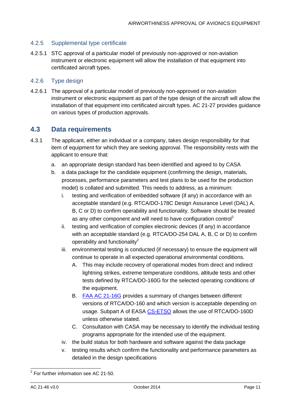#### 4.2.5 Supplemental type certificate

4.2.5.1 STC approval of a particular model of previously non-approved or non-aviation instrument or electronic equipment will allow the installation of that equipment into certificated aircraft types.

#### 4.2.6 Type design

4.2.6.1 The approval of a particular model of previously non-approved or non-aviation instrument or electronic equipment as part of the type design of the aircraft will allow the installation of that equipment into certificated aircraft types. AC 21-27 provides guidance on various types of production approvals.

### <span id="page-11-0"></span>**4.3 Data requirements**

- 4.3.1 The applicant, either an individual or a company, takes design responsibility for that item of equipment for which they are seeking approval. The responsibility rests with the applicant to ensure that:
	- a. an appropriate design standard has been identified and agreed to by CASA
	- b. a data package for the candidate equipment (confirming the design, materials, processes, performance parameters and test plans to be used for the production model) is collated and submitted. This needs to address, as a minimum:
		- i. testing and verification of embedded software (if any) in accordance with an acceptable standard (e.g. RTCA/DO-178C Design Assurance Level (DAL) A, B, C or D) to confirm operability and functionality. Software should be treated as any other component and will need to have configuration control<sup>2</sup>
		- ii. testing and verification of complex electronic devices (if any) in accordance with an acceptable standard (e.g. RTCA/DO-254 DAL A, B, C or D) to confirm operability and functionality<sup>2</sup>
		- iii. environmental testing is conducted (if necessary) to ensure the equipment will continue to operate in all expected operational environmental conditions.
			- A. This may include recovery of operational modes from direct and indirect lightning strikes, extreme temperature conditions, altitude tests and other tests defined by RTCA/DO-160G for the selected operating conditions of the equipment.
			- B. [FAA AC 21-16G](http://rgl.faa.gov/Regulatory_and_Guidance_Library/rgAdvisoryCircular.nsf/0/880bd753c9d79c35862578b80062049d/$FILE/AC%2021-16G.pdf) provides a summary of changes between different versions of RTCA/DO-160 and which version is acceptable depending on usage. Subpart A of EASA [CS-ETSO](http://easa.europa.eu/system/files/dfu/CS-ETSO.pdf) allows the use of RTCA/DO-160D unless otherwise stated.
			- C. Consultation with CASA may be necessary to identify the individual testing programs appropriate for the intended use of the equipment.
		- iv. the build status for both hardware and software against the data package
		- v. testing results which confirm the functionality and performance parameters as detailed in the design specifications

 2 For further information see AC 21-50.